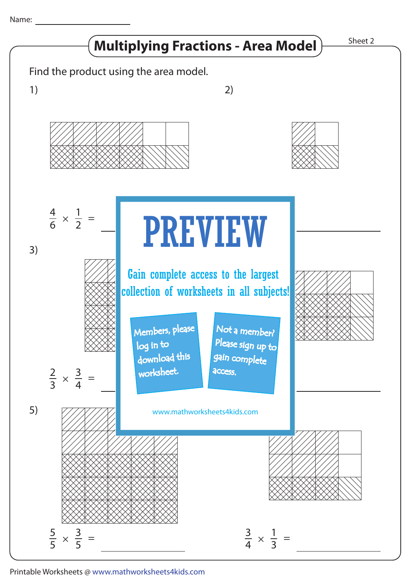